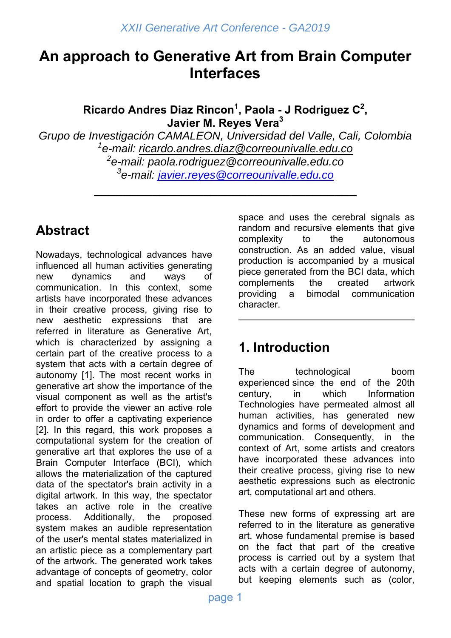# **An approach to Generative Art from Brain Computer Interfaces**

**Ricardo Andres Diaz Rincon1 , Paola - J Rodriguez C<sup>2</sup> , Javier M. Reyes Vera<sup>3</sup>**

*Grupo de Investigación CAMALEON, Universidad del Valle, Cali, Colombia 1 e-mail: ricardo.andres.diaz@correounivalle.edu.co 2 e-mail: paola.rodriguez@correounivalle.edu.co*

*3 e-mail: javier.reyes@correounivalle.edu.co* **\_\_\_\_\_\_\_\_\_\_\_\_\_\_\_\_\_\_\_\_\_\_\_\_\_\_\_\_\_\_\_\_\_\_\_\_** 

# **Abstract**

Nowadays, technological advances have influenced all human activities generating new dynamics and ways of communication. In this context, some artists have incorporated these advances in their creative process, giving rise to new aesthetic expressions that are referred in literature as Generative Art, which is characterized by assigning a certain part of the creative process to a system that acts with a certain degree of autonomy [1]. The most recent works in generative art show the importance of the visual component as well as the artist's effort to provide the viewer an active role in order to offer a captivating experience [2]. In this regard, this work proposes a computational system for the creation of generative art that explores the use of a Brain Computer Interface (BCI), which allows the materialization of the captured data of the spectator's brain activity in a digital artwork. In this way, the spectator takes an active role in the creative process. Additionally, the proposed system makes an audible representation of the user's mental states materialized in an artistic piece as a complementary part of the artwork. The generated work takes advantage of concepts of geometry, color and spatial location to graph the visual space and uses the cerebral signals as random and recursive elements that give complexity to the autonomous construction. As an added value, visual production is accompanied by a musical piece generated from the BCI data, which complements the created artwork providing a bimodal communication character.

# **1. Introduction**

The technological boom experienced since the end of the 20th century, in which Information Technologies have permeated almost all human activities, has generated new dynamics and forms of development and communication. Consequently, in the context of Art, some artists and creators have incorporated these advances into their creative process, giving rise to new aesthetic expressions such as electronic art, computational art and others.

These new forms of expressing art are referred to in the literature as generative art, whose fundamental premise is based on the fact that part of the creative process is carried out by a system that acts with a certain degree of autonomy, but keeping elements such as (color,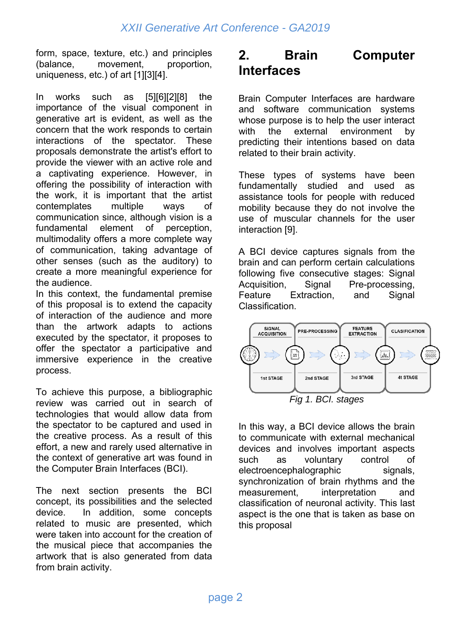form, space, texture, etc.) and principles (balance, movement, proportion, uniqueness, etc.) of art [1][3][4].

In works such as [5][6][2][8] the importance of the visual component in generative art is evident, as well as the concern that the work responds to certain interactions of the spectator. These proposals demonstrate the artist's effort to provide the viewer with an active role and a captivating experience. However, in offering the possibility of interaction with the work, it is important that the artist contemplates multiple ways of communication since, although vision is a fundamental element of perception, multimodality offers a more complete way of communication, taking advantage of other senses (such as the auditory) to create a more meaningful experience for the audience.

In this context, the fundamental premise of this proposal is to extend the capacity of interaction of the audience and more than the artwork adapts to actions executed by the spectator, it proposes to offer the spectator a participative and immersive experience in the creative process.

To achieve this purpose, a bibliographic review was carried out in search of technologies that would allow data from the spectator to be captured and used in the creative process. As a result of this effort, a new and rarely used alternative in the context of generative art was found in the Computer Brain Interfaces (BCI).

The next section presents the BCI concept, its possibilities and the selected device. In addition, some concepts related to music are presented, which were taken into account for the creation of the musical piece that accompanies the artwork that is also generated from data from brain activity.

# **2. Brain Computer Interfaces**

Brain Computer Interfaces are hardware and software communication systems whose purpose is to help the user interact with the external environment by predicting their intentions based on data related to their brain activity.

These types of systems have been fundamentally studied and used as assistance tools for people with reduced mobility because they do not involve the use of muscular channels for the user interaction [9].

A BCI device captures signals from the brain and can perform certain calculations following five consecutive stages: Signal Acquisition, Signal Pre-processing, Feature Extraction, and Signal Classification.



In this way, a BCI device allows the brain to communicate with external mechanical devices and involves important aspects such as voluntary control of electroencephalographic signals, synchronization of brain rhythms and the measurement, interpretation and classification of neuronal activity. This last aspect is the one that is taken as base on this proposal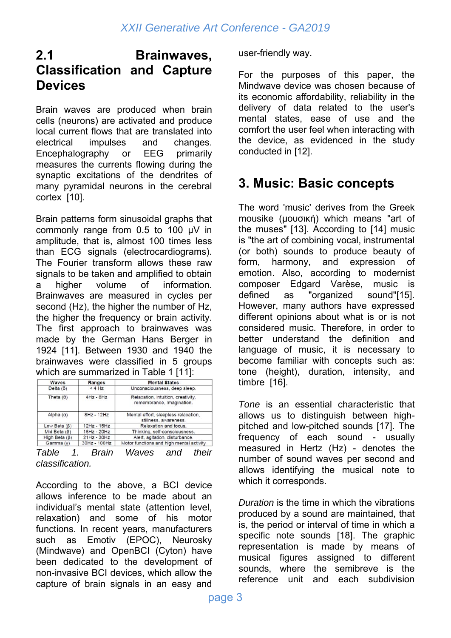## **2.1 Brainwaves, Classification and Capture Devices**

Brain waves are produced when brain cells (neurons) are activated and produce local current flows that are translated into electrical impulses and changes. Encephalography or EEG primarily measures the currents flowing during the synaptic excitations of the dendrites of many pyramidal neurons in the cerebral cortex [10].

Brain patterns form sinusoidal graphs that commonly range from 0.5 to 100 μV in amplitude, that is, almost 100 times less than ECG signals (electrocardiograms). The Fourier transform allows these raw signals to be taken and amplified to obtain a higher volume of information. Brainwaves are measured in cycles per second (Hz), the higher the number of Hz, the higher the frequency or brain activity. The first approach to brainwaves was made by the German Hans Berger in 1924 [11]. Between 1930 and 1940 the brainwaves were classified in 5 groups which are summarized in Table 1 [11]:

| <b>Waves</b>        | Ranges        | <b>Mental States</b>                                            |
|---------------------|---------------|-----------------------------------------------------------------|
| Delta $(5)$         | < 4 Hz        | Unconsciousness, deep sleep.                                    |
| Theta $(\theta)$    | $4Hz - 8Hz$   | Relaxation, intuition, creativity,<br>remembrance, Imagination. |
| Alpha $(\alpha)$    | $8Hz - 12Hz$  | Mental effort, sleepless relaxation.<br>stillness, awareness.   |
| Low Beta $(\beta)$  | 12Hz - 15Hz   | Relaxation and focus.                                           |
| Mid Beta $(\beta)$  | 16Hz - 20Hz   | Thinking, self-consciousness.                                   |
| High Beta $(\beta)$ | $21Hz - 30Hz$ | Alert, agitation, disturbance.                                  |
| Gamma (y)           | 30Hz - 100Hz  | Motor functions and high mental activity                        |

*Table 1. Brain Waves and their classification.*

According to the above, a BCI device allows inference to be made about an individual's mental state (attention level, relaxation) and some of his motor functions. In recent years, manufacturers such as Emotiv (EPOC), Neurosky (Mindwave) and OpenBCI (Cyton) have been dedicated to the development of non-invasive BCI devices, which allow the capture of brain signals in an easy and user-friendly way.

For the purposes of this paper, the Mindwave device was chosen because of its economic affordability, reliability in the delivery of data related to the user's mental states, ease of use and the comfort the user feel when interacting with the device, as evidenced in the study conducted in [12].

# **3. Music: Basic concepts**

The word 'music' derives from the Greek mousike (μουσική) which means "art of the muses" [13]. According to [14] music is "the art of combining vocal, instrumental (or both) sounds to produce beauty of form, harmony, and expression of emotion. Also, according to modernist composer Edgard Varèse, music is defined as "organized sound"[15]. However, many authors have expressed different opinions about what is or is not considered music. Therefore, in order to better understand the definition and language of music, it is necessary to become familiar with concepts such as: tone (height), duration, intensity, and timbre [16].

*Tone* is an essential characteristic that allows us to distinguish between highpitched and low-pitched sounds [17]. The frequency of each sound - usually measured in Hertz (Hz) - denotes the number of sound waves per second and allows identifying the musical note to which it corresponds.

*Duration* is the time in which the vibrations produced by a sound are maintained, that is, the period or interval of time in which a specific note sounds [18]. The graphic representation is made by means of musical figures assigned to different sounds, where the semibreve is the reference unit and each subdivision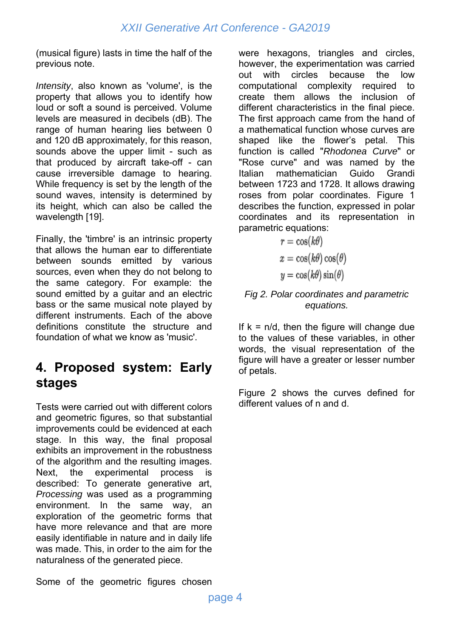(musical figure) lasts in time the half of the previous note.

*Intensity*, also known as 'volume', is the property that allows you to identify how loud or soft a sound is perceived. Volume levels are measured in decibels (dB). The range of human hearing lies between 0 and 120 dB approximately, for this reason, sounds above the upper limit - such as that produced by aircraft take-off - can cause irreversible damage to hearing. While frequency is set by the length of the sound waves, intensity is determined by its height, which can also be called the wavelength [19].

Finally, the 'timbre' is an intrinsic property that allows the human ear to differentiate between sounds emitted by various sources, even when they do not belong to the same category. For example: the sound emitted by a guitar and an electric bass or the same musical note played by different instruments. Each of the above definitions constitute the structure and foundation of what we know as 'music'.

# **4. Proposed system: Early stages**

Tests were carried out with different colors and geometric figures, so that substantial improvements could be evidenced at each stage. In this way, the final proposal exhibits an improvement in the robustness of the algorithm and the resulting images. Next, the experimental process is described: To generate generative art, *Processing* was used as a programming environment. In the same way, an exploration of the geometric forms that have more relevance and that are more easily identifiable in nature and in daily life was made. This, in order to the aim for the naturalness of the generated piece.

Some of the geometric figures chosen

were hexagons, triangles and circles, however, the experimentation was carried out with circles because the low computational complexity required to create them allows the inclusion of different characteristics in the final piece. The first approach came from the hand of a mathematical function whose curves are shaped like the flower's petal. This function is called "*Rhodonea Curve*" or "Rose curve" and was named by the Italian mathematician Guido Grandi between 1723 and 1728. It allows drawing roses from polar coordinates. Figure 1 describes the function, expressed in polar coordinates and its representation in parametric equations:

$$
r = \cos(k\theta)
$$

$$
x = \cos(k\theta)\cos(\theta)
$$

$$
y = \cos(k\theta)\sin(\theta)
$$

#### *Fig 2. Polar coordinates and parametric equations.*

If  $k = n/d$ , then the figure will change due to the values of these variables, in other words, the visual representation of the figure will have a greater or lesser number of petals.

Figure 2 shows the curves defined for different values of n and d.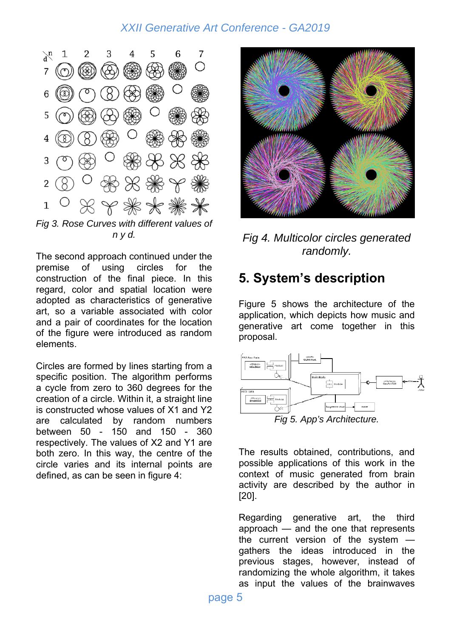

*Fig 3. Rose Curves with different values of n y d.*

The second approach continued under the premise of using circles for the construction of the final piece. In this regard, color and spatial location were adopted as characteristics of generative art, so a variable associated with color and a pair of coordinates for the location of the figure were introduced as random elements.

Circles are formed by lines starting from a specific position. The algorithm performs a cycle from zero to 360 degrees for the creation of a circle. Within it, a straight line is constructed whose values of X1 and Y2 are calculated by random numbers between 50 - 150 and 150 - 360 respectively. The values of X2 and Y1 are both zero. In this way, the centre of the circle varies and its internal points are defined, as can be seen in figure 4:



*Fig 4. Multicolor circles generated randomly.* 

## **5. System's description**

Figure 5 shows the architecture of the application, which depicts how music and generative art come together in this proposal.



The results obtained, contributions, and possible applications of this work in the context of music generated from brain activity are described by the author in [20].

Regarding generative art, the third approach — and the one that represents the current version of the system gathers the ideas introduced in the previous stages, however, instead of randomizing the whole algorithm, it takes as input the values of the brainwaves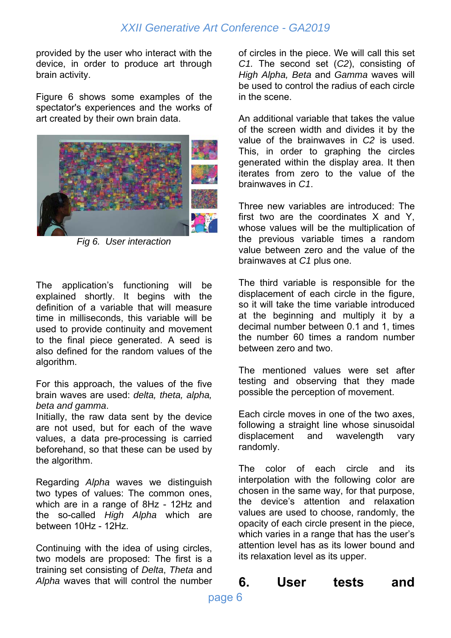provided by the user who interact with the device, in order to produce art through brain activity.

Figure 6 shows some examples of the spectator's experiences and the works of art created by their own brain data.



*Fig 6. User interaction* 

The application's functioning will be explained shortly. It begins with the definition of a variable that will measure time in milliseconds, this variable will be used to provide continuity and movement to the final piece generated. A seed is also defined for the random values of the algorithm.

For this approach, the values of the five brain waves are used: *delta, theta, alpha, beta and gamma*.

Initially, the raw data sent by the device are not used, but for each of the wave values, a data pre-processing is carried beforehand, so that these can be used by the algorithm.

Regarding *Alpha* waves we distinguish two types of values: The common ones, which are in a range of 8Hz - 12Hz and the so-called *High Alpha* which are between 10Hz - 12Hz.

Continuing with the idea of using circles, two models are proposed: The first is a training set consisting of *Delta*, *Theta* and *Alpha* waves that will control the number of circles in the piece. We will call this set *C1.* The second set (*C2*), consisting of *High Alpha, Beta* and *Gamma* waves will be used to control the radius of each circle in the scene.

An additional variable that takes the value of the screen width and divides it by the value of the brainwaves in *C2* is used. This, in order to graphing the circles generated within the display area. It then iterates from zero to the value of the brainwaves in *C1*.

Three new variables are introduced: The first two are the coordinates X and Y, whose values will be the multiplication of the previous variable times a random value between zero and the value of the brainwaves at *C1* plus one.

The third variable is responsible for the displacement of each circle in the figure, so it will take the time variable introduced at the beginning and multiply it by a decimal number between 0.1 and 1, times the number 60 times a random number between zero and two.

The mentioned values were set after testing and observing that they made possible the perception of movement.

Each circle moves in one of the two axes, following a straight line whose sinusoidal displacement and wavelength vary randomly.

The color of each circle and its interpolation with the following color are chosen in the same way, for that purpose, the device's attention and relaxation values are used to choose, randomly, the opacity of each circle present in the piece, which varies in a range that has the user's attention level has as its lower bound and its relaxation level as its upper.

**6. User tests and**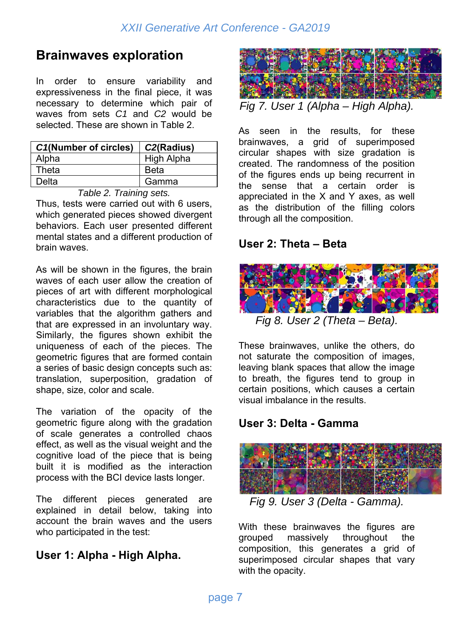# **Brainwaves exploration**

In order to ensure variability and expressiveness in the final piece, it was necessary to determine which pair of waves from sets *C1* and *C2* would be selected. These are shown in Table 2.

| <b>C1(Number of circles)</b> | $\mid$ C <sub>2</sub> (Radius) |
|------------------------------|--------------------------------|
| Alpha                        | High Alpha                     |
| Theta                        | <b>Beta</b>                    |
| Delta                        | Gamma                          |

*Table 2. Training sets.* 

Thus, tests were carried out with 6 users, which generated pieces showed divergent behaviors. Each user presented different mental states and a different production of brain waves.

As will be shown in the figures, the brain waves of each user allow the creation of pieces of art with different morphological characteristics due to the quantity of variables that the algorithm gathers and that are expressed in an involuntary way. Similarly, the figures shown exhibit the uniqueness of each of the pieces. The geometric figures that are formed contain a series of basic design concepts such as: translation, superposition, gradation of shape, size, color and scale.

The variation of the opacity of the geometric figure along with the gradation of scale generates a controlled chaos effect, as well as the visual weight and the cognitive load of the piece that is being built it is modified as the interaction process with the BCI device lasts longer.

The different pieces generated are explained in detail below, taking into account the brain waves and the users who participated in the test:

## **User 1: Alpha - High Alpha.**



As seen in the results, for these brainwaves, a grid of superimposed circular shapes with size gradation is created. The randomness of the position of the figures ends up being recurrent in the sense that a certain order is appreciated in the X and Y axes, as well as the distribution of the filling colors through all the composition.

### **User 2: Theta – Beta**



These brainwaves, unlike the others, do not saturate the composition of images, leaving blank spaces that allow the image to breath, the figures tend to group in certain positions, which causes a certain visual imbalance in the results.

## **User 3: Delta - Gamma**



*Fig 9. User 3 (Delta - Gamma).* 

With these brainwaves the figures are grouped massively throughout the composition, this generates a grid of superimposed circular shapes that vary with the opacity.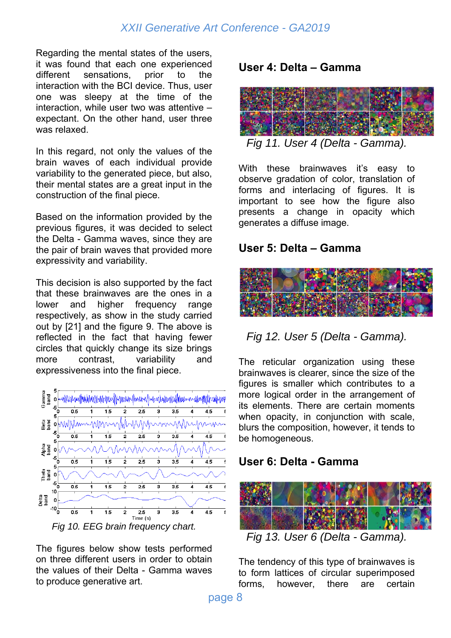Regarding the mental states of the users, it was found that each one experienced different sensations, prior to the interaction with the BCI device. Thus, user one was sleepy at the time of the interaction, while user two was attentive – expectant. On the other hand, user three was relaxed.

In this regard, not only the values of the brain waves of each individual provide variability to the generated piece, but also, their mental states are a great input in the construction of the final piece.

Based on the information provided by the previous figures, it was decided to select the Delta - Gamma waves, since they are the pair of brain waves that provided more expressivity and variability.

This decision is also supported by the fact that these brainwaves are the ones in a lower and higher frequency range respectively, as show in the study carried out by [21] and the figure 9. The above is reflected in the fact that having fewer circles that quickly change its size brings more contrast, variability and expressiveness into the final piece.



The figures below show tests performed on three different users in order to obtain the values of their Delta - Gamma waves to produce generative art.

### **User 4: Delta – Gamma**



*Fig 11. User 4 (Delta - Gamma).* 

With these brainwaves it's easy to observe gradation of color, translation of forms and interlacing of figures. It is important to see how the figure also presents a change in opacity which generates a diffuse image.

#### **User 5: Delta – Gamma**



#### *Fig 12. User 5 (Delta - Gamma).*

The reticular organization using these brainwaves is clearer, since the size of the figures is smaller which contributes to a more logical order in the arrangement of its elements. There are certain moments when opacity, in conjunction with scale, blurs the composition, however, it tends to be homogeneous.

#### **User 6: Delta - Gamma**



*Fig 13. User 6 (Delta - Gamma).* 

The tendency of this type of brainwaves is to form lattices of circular superimposed forms, however, there are certain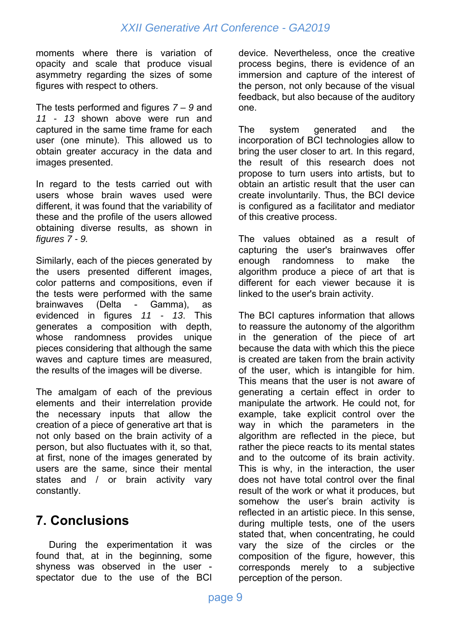moments where there is variation of opacity and scale that produce visual asymmetry regarding the sizes of some figures with respect to others.

The tests performed and figures *7 – 9* and *11 - 13* shown above were run and captured in the same time frame for each user (one minute). This allowed us to obtain greater accuracy in the data and images presented.

In regard to the tests carried out with users whose brain waves used were different, it was found that the variability of these and the profile of the users allowed obtaining diverse results, as shown in *figures 7 - 9.* 

Similarly, each of the pieces generated by the users presented different images, color patterns and compositions, even if the tests were performed with the same brainwaves (Delta - Gamma), as evidenced in figures *11 - 13*. This generates a composition with depth, whose randomness provides unique pieces considering that although the same waves and capture times are measured, the results of the images will be diverse.

The amalgam of each of the previous elements and their interrelation provide the necessary inputs that allow the creation of a piece of generative art that is not only based on the brain activity of a person, but also fluctuates with it, so that, at first, none of the images generated by users are the same, since their mental states and / or brain activity vary constantly.

# **7. Conclusions**

 During the experimentation it was found that, at in the beginning, some shyness was observed in the user spectator due to the use of the BCI

device. Nevertheless, once the creative process begins, there is evidence of an immersion and capture of the interest of the person, not only because of the visual feedback, but also because of the auditory one.

The system generated and the incorporation of BCI technologies allow to bring the user closer to art. In this regard, the result of this research does not propose to turn users into artists, but to obtain an artistic result that the user can create involuntarily. Thus, the BCI device is configured as a facilitator and mediator of this creative process.

The values obtained as a result of capturing the user's brainwaves offer enough randomness to make the algorithm produce a piece of art that is different for each viewer because it is linked to the user's brain activity.

The BCI captures information that allows to reassure the autonomy of the algorithm in the generation of the piece of art because the data with which this the piece is created are taken from the brain activity of the user, which is intangible for him. This means that the user is not aware of generating a certain effect in order to manipulate the artwork. He could not, for example, take explicit control over the way in which the parameters in the algorithm are reflected in the piece, but rather the piece reacts to its mental states and to the outcome of its brain activity. This is why, in the interaction, the user does not have total control over the final result of the work or what it produces, but somehow the user's brain activity is reflected in an artistic piece. In this sense, during multiple tests, one of the users stated that, when concentrating, he could vary the size of the circles or the composition of the figure, however, this corresponds merely to a subjective perception of the person.